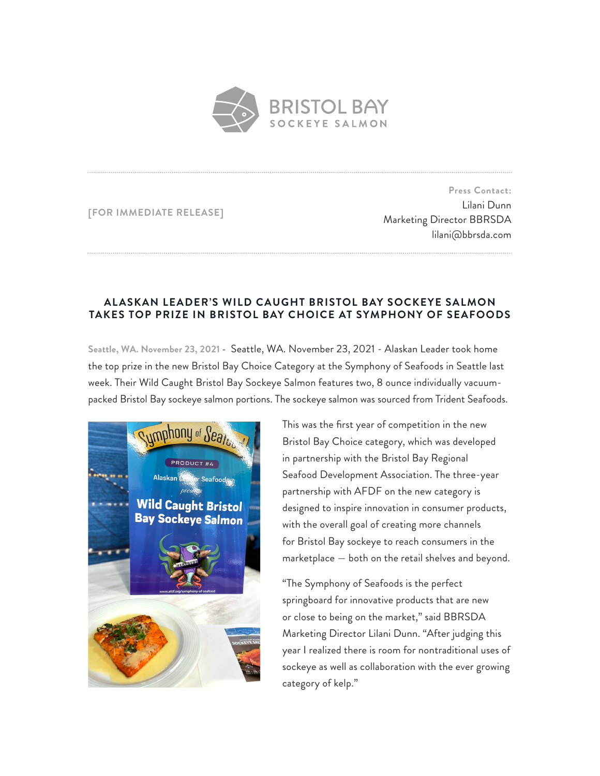

**[FOR IMMEDIATE RELEASE]**

**Press Contact:**  Lilani Dunn Marketing Director BBRSDA lilani@bbrsda.com

## **AL ASKAN LEADER'S WILD CAUGHT BRISTOL BAY SOCKEYE SALMON TAKES TOP PRIZE IN BRISTOL BAY CHOICE AT SYMPHONY OF SEAFOODS**

**Seattle, WA. November 23, 2021 -** Seattle, WA. November 23, 2021 - Alaskan Leader took home the top prize in the new Bristol Bay Choice Category at the Symphony of Seafoods in Seattle last week. Their Wild Caught Bristol Bay Sockeye Salmon features two, 8 ounce individually vacuumpacked Bristol Bay sockeye salmon portions. The sockeye salmon was sourced from Trident Seafoods.



This was the first year of competition in the new Bristol Bay Choice category, which was developed in partnership with the Bristol Bay Regional Seafood Development Association. The three-year partnership with AFDF on the new category is designed to inspire innovation in consumer products, with the overall goal of creating more channels for Bristol Bay sockeye to reach consumers in the marketplace — both on the retail shelves and beyond.

"The Symphony of Seafoods is the perfect springboard for innovative products that are new or close to being on the market," said BBRSDA Marketing Director Lilani Dunn. "After judging this year I realized there is room for nontraditional uses of sockeye as well as collaboration with the ever growing category of kelp."